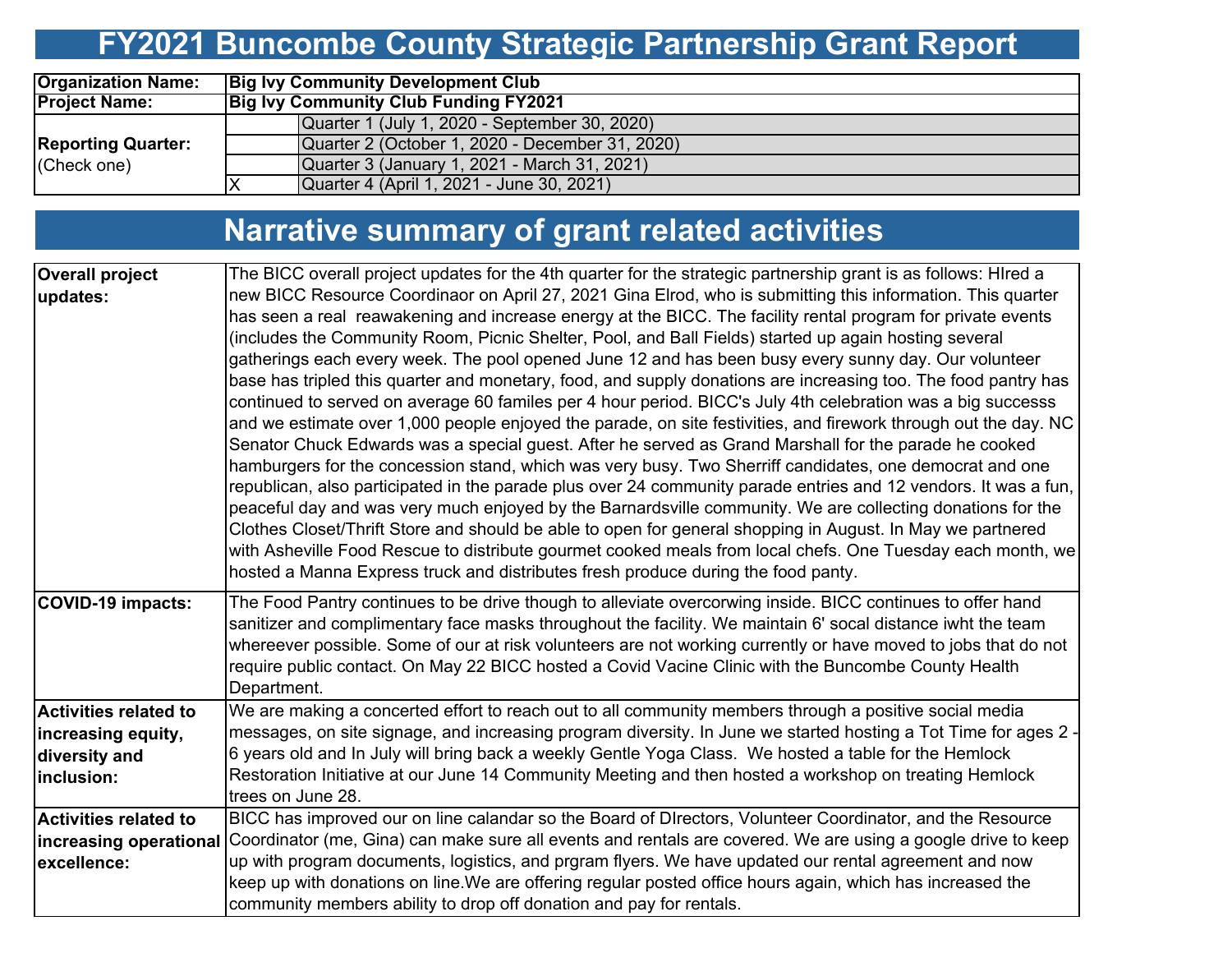# **FY2021 Buncombe County Strategic Partnership Grant Report**

| <b>Organization Name:</b> | <b>Big Ivy Community Development Club</b> |                                                 |  |  |  |  |  |  |
|---------------------------|-------------------------------------------|-------------------------------------------------|--|--|--|--|--|--|
| <b>Project Name:</b>      |                                           | <b>Big Ivy Community Club Funding FY2021</b>    |  |  |  |  |  |  |
|                           |                                           | Quarter 1 (July 1, 2020 - September 30, 2020)   |  |  |  |  |  |  |
| <b>Reporting Quarter:</b> |                                           | Quarter 2 (October 1, 2020 - December 31, 2020) |  |  |  |  |  |  |
| (Check one)               |                                           | Quarter 3 (January 1, 2021 - March 31, 2021)    |  |  |  |  |  |  |
|                           |                                           | Quarter 4 (April 1, 2021 - June 30, 2021)       |  |  |  |  |  |  |

## **Narrative summary of grant related activities**

| <b>Overall project</b>       | The BICC overall project updates for the 4th quarter for the strategic partnership grant is as follows: HIred a                                                                  |
|------------------------------|----------------------------------------------------------------------------------------------------------------------------------------------------------------------------------|
| updates:                     | new BICC Resource Coordinaor on April 27, 2021 Gina Elrod, who is submitting this information. This quarter                                                                      |
|                              | has seen a real reawakening and increase energy at the BICC. The facility rental program for private events                                                                      |
|                              | (includes the Community Room, Picnic Shelter, Pool, and Ball Fields) started up again hosting several                                                                            |
|                              | gatherings each every week. The pool opened June 12 and has been busy every sunny day. Our volunteer                                                                             |
|                              | base has tripled this quarter and monetary, food, and supply donations are increasing too. The food pantry has                                                                   |
|                              | continued to served on average 60 familes per 4 hour period. BICC's July 4th celebration was a big successs                                                                      |
|                              | and we estimate over 1,000 people enjoyed the parade, on site festivities, and firework through out the day. NC                                                                  |
|                              | Senator Chuck Edwards was a special guest. After he served as Grand Marshall for the parade he cooked                                                                            |
|                              | hamburgers for the concession stand, which was very busy. Two Sherriff candidates, one democrat and one                                                                          |
|                              | republican, also participated in the parade plus over 24 community parade entries and 12 vendors. It was a fun,                                                                  |
|                              | peaceful day and was very much enjoyed by the Barnardsville community. We are collecting donations for the                                                                       |
|                              | Clothes Closet/Thrift Store and should be able to open for general shopping in August. In May we partnered                                                                       |
|                              | with Asheville Food Rescue to distribute gourmet cooked meals from local chefs. One Tuesday each month, we                                                                       |
|                              | hosted a Manna Express truck and distributes fresh produce during the food panty.                                                                                                |
| <b>COVID-19 impacts:</b>     | The Food Pantry continues to be drive though to alleviate overcorwing inside. BICC continues to offer hand                                                                       |
|                              | sanitizer and complimentary face masks throughout the facility. We maintain 6' socal distance iwht the team                                                                      |
|                              | whereever possible. Some of our at risk volunteers are not working currently or have moved to jobs that do not                                                                   |
|                              | require public contact. On May 22 BICC hosted a Covid Vacine Clinic with the Buncombe County Health                                                                              |
|                              | Department.                                                                                                                                                                      |
| <b>Activities related to</b> | We are making a concerted effort to reach out to all community members through a positive social media                                                                           |
| increasing equity,           | messages, on site signage, and increasing program diversity. In June we started hosting a Tot Time for ages 2 -                                                                  |
| diversity and                | 6 years old and In July will bring back a weekly Gentle Yoga Class. We hosted a table for the Hemlock                                                                            |
| inclusion:                   | Restoration Initiative at our June 14 Community Meeting and then hosted a workshop on treating Hemlock                                                                           |
|                              | trees on June 28.                                                                                                                                                                |
| <b>Activities related to</b> | BICC has improved our on line calandar so the Board of DIrectors, Volunteer Coordinator, and the Resource                                                                        |
|                              |                                                                                                                                                                                  |
|                              | increasing operational Coordinator (me, Gina) can make sure all events and rentals are covered. We are using a google drive to keep                                              |
| excellence:                  | up with program documents, logistics, and prgram flyers. We have updated our rental agreement and now                                                                            |
|                              | keep up with donations on line.We are offering regular posted office hours again, which has increased the<br>community members ability to drop off donation and pay for rentals. |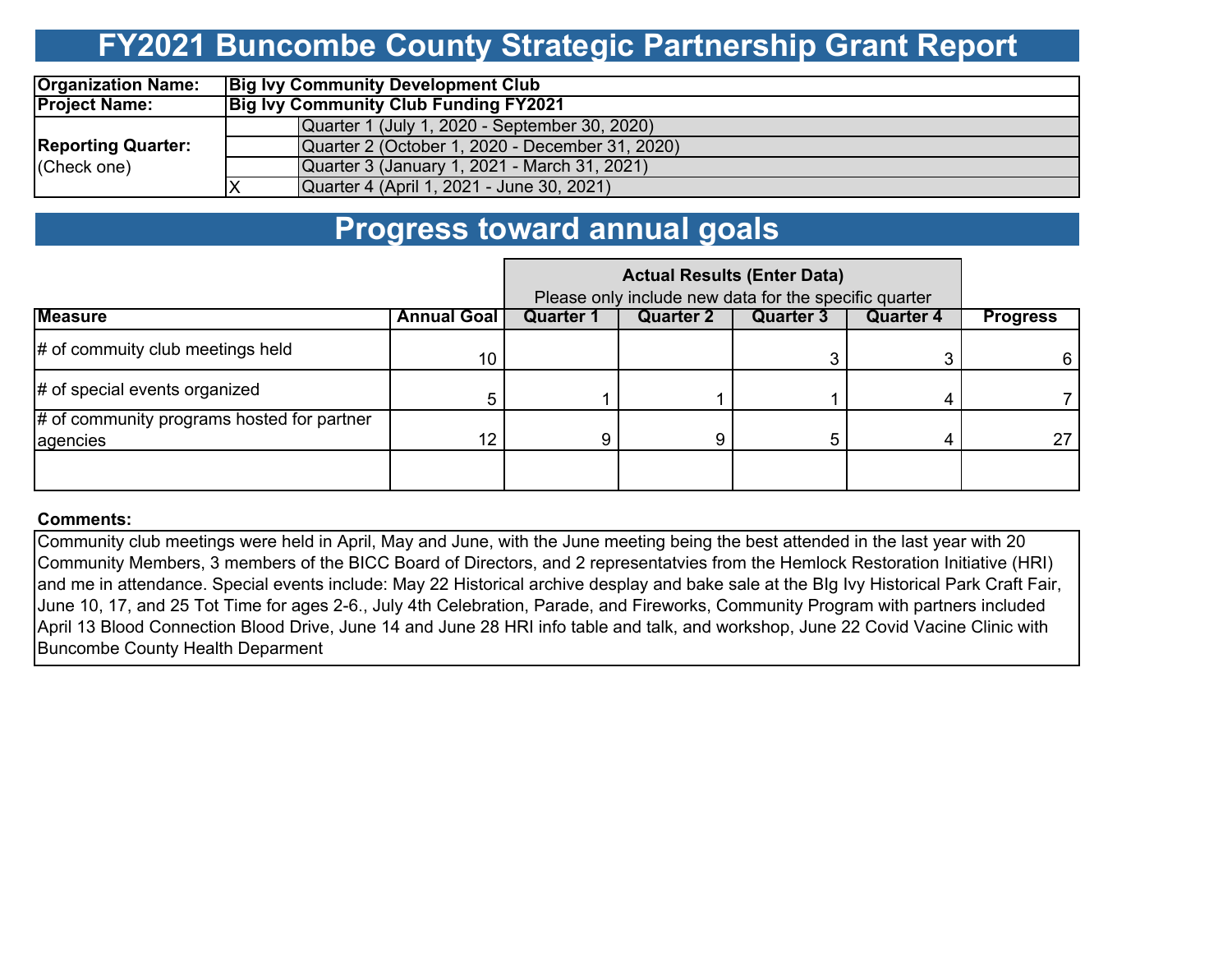### **FY2021 Buncombe County Strategic Partnership Grant Report**

| <b>Organization Name:</b> | <b>Big Ivy Community Development Club</b>    |                                                 |  |  |  |  |  |
|---------------------------|----------------------------------------------|-------------------------------------------------|--|--|--|--|--|
| <b>Project Name:</b>      | <b>Big Ivy Community Club Funding FY2021</b> |                                                 |  |  |  |  |  |
|                           |                                              | Quarter 1 (July 1, 2020 - September 30, 2020)   |  |  |  |  |  |
| <b>Reporting Quarter:</b> |                                              | Quarter 2 (October 1, 2020 - December 31, 2020) |  |  |  |  |  |
| (Check one)               |                                              | Quarter 3 (January 1, 2021 - March 31, 2021)    |  |  |  |  |  |
|                           |                                              | Quarter 4 (April 1, 2021 - June 30, 2021)       |  |  |  |  |  |

### **Progress toward annual goals**

|                                            | Please only include new data for the specific quarter |                  |                  |                  |                  |                 |
|--------------------------------------------|-------------------------------------------------------|------------------|------------------|------------------|------------------|-----------------|
| <b>Measure</b>                             | <b>Annual Goal</b>                                    | <b>Quarter 1</b> | <b>Quarter 2</b> | <b>Quarter 3</b> | <b>Quarter 4</b> | <b>Progress</b> |
| # of commuity club meetings held           | 10                                                    |                  |                  |                  |                  | 6               |
| # of special events organized              |                                                       |                  |                  |                  |                  |                 |
| # of community programs hosted for partner |                                                       |                  |                  |                  |                  |                 |
| agencies                                   | 12                                                    |                  |                  |                  |                  |                 |
|                                            |                                                       |                  |                  |                  |                  |                 |

#### **Comments:**

Community club meetings were held in April, May and June, with the June meeting being the best attended in the last year with 20 Community Members, 3 members of the BICC Board of Directors, and 2 representatvies from the Hemlock Restoration Initiative (HRI) and me in attendance. Special events include: May 22 Historical archive desplay and bake sale at the BIg Ivy Historical Park Craft Fair, June 10, 17, and 25 Tot Time for ages 2-6., July 4th Celebration, Parade, and Fireworks, Community Program with partners included April 13 Blood Connection Blood Drive, June 14 and June 28 HRI info table and talk, and workshop, June 22 Covid Vacine Clinic with Buncombe County Health Deparment